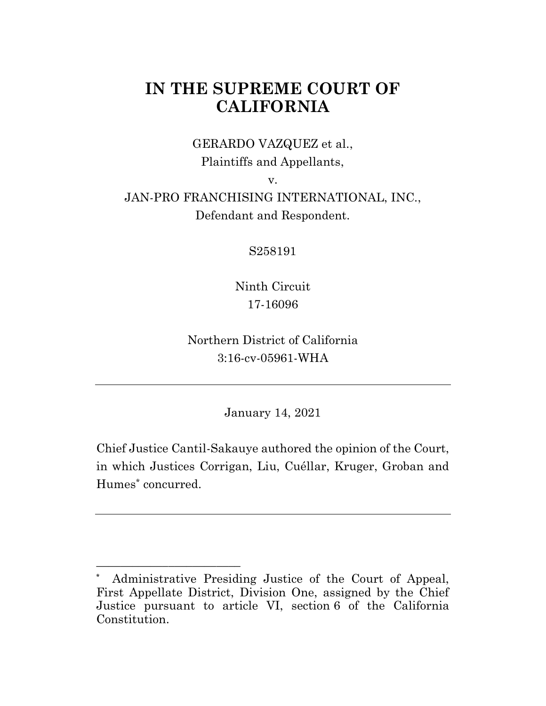# **IN THE SUPREME COURT OF CALIFORNIA**

GERARDO VAZQUEZ et al., Plaintiffs and Appellants,

v.

JAN-PRO FRANCHISING INTERNATIONAL, INC., Defendant and Respondent.

S258191

Ninth Circuit 17-16096

Northern District of California 3:16-cv-05961-WHA

January 14, 2021

Chief Justice Cantil-Sakauye authored the opinion of the Court, in which Justices Corrigan, Liu, Cuéllar, Kruger, Groban and Humes\* concurred.

\_\_\_\_\_\_\_\_\_\_\_\_\_\_\_\_\_\_\_\_\_\_\_\_

**<sup>\*</sup>** Administrative Presiding Justice of the Court of Appeal, First Appellate District, Division One, assigned by the Chief Justice pursuant to article VI, section 6 of the California Constitution.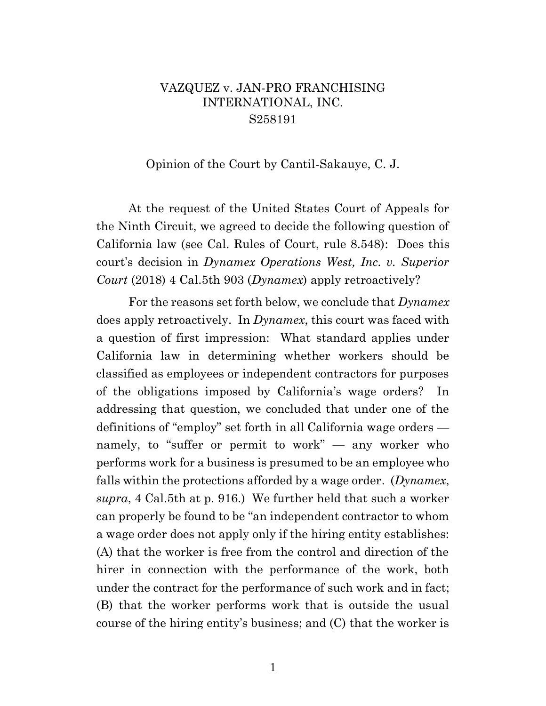### VAZQUEZ v. JAN-PRO FRANCHISING INTERNATIONAL, INC. S258191

#### Opinion of the Court by Cantil-Sakauye, C. J.

At the request of the United States Court of Appeals for the Ninth Circuit, we agreed to decide the following question of California law (see Cal. Rules of Court, rule 8.548): Does this court's decision in *Dynamex Operations West, Inc. v. Superior Court* (2018) 4 Cal.5th 903 (*Dynamex*) apply retroactively?

For the reasons set forth below, we conclude that *Dynamex* does apply retroactively. In *Dynamex*, this court was faced with a question of first impression: What standard applies under California law in determining whether workers should be classified as employees or independent contractors for purposes of the obligations imposed by California's wage orders? In addressing that question, we concluded that under one of the definitions of "employ" set forth in all California wage orders namely, to "suffer or permit to work" — any worker who performs work for a business is presumed to be an employee who falls within the protections afforded by a wage order. (*Dynamex*, *supra*, 4 Cal.5th at p. 916.) We further held that such a worker can properly be found to be "an independent contractor to whom a wage order does not apply only if the hiring entity establishes: (A) that the worker is free from the control and direction of the hirer in connection with the performance of the work, both under the contract for the performance of such work and in fact; (B) that the worker performs work that is outside the usual course of the hiring entity's business; and (C) that the worker is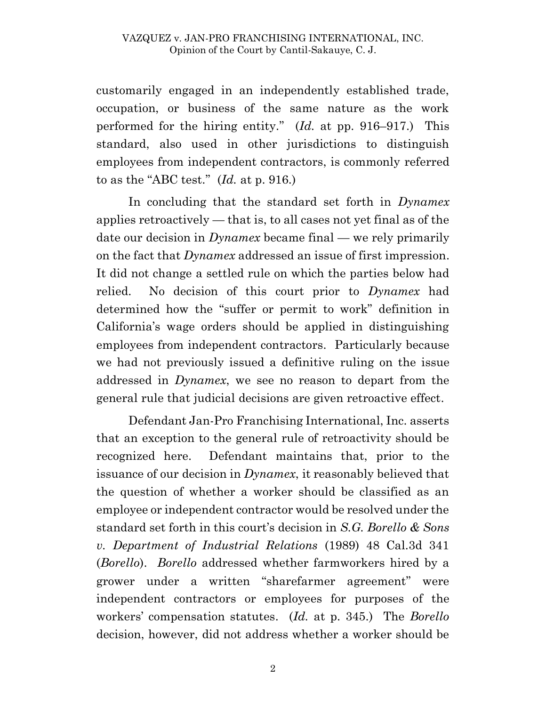customarily engaged in an independently established trade, occupation, or business of the same nature as the work performed for the hiring entity." (*Id.* at pp. 916–917.) This standard, also used in other jurisdictions to distinguish employees from independent contractors, is commonly referred to as the "ABC test." (*Id.* at p. 916.)

In concluding that the standard set forth in *Dynamex*  applies retroactively — that is, to all cases not yet final as of the date our decision in *Dynamex* became final — we rely primarily on the fact that *Dynamex* addressed an issue of first impression. It did not change a settled rule on which the parties below had relied. No decision of this court prior to *Dynamex* had determined how the "suffer or permit to work" definition in California's wage orders should be applied in distinguishing employees from independent contractors. Particularly because we had not previously issued a definitive ruling on the issue addressed in *Dynamex*, we see no reason to depart from the general rule that judicial decisions are given retroactive effect.

Defendant Jan-Pro Franchising International, Inc. asserts that an exception to the general rule of retroactivity should be recognized here. Defendant maintains that, prior to the issuance of our decision in *Dynamex*, it reasonably believed that the question of whether a worker should be classified as an employee or independent contractor would be resolved under the standard set forth in this court's decision in *S.G. Borello & Sons v. Department of Industrial Relations* (1989) 48 Cal.3d 341 (*Borello*). *Borello* addressed whether farmworkers hired by a grower under a written "sharefarmer agreement" were independent contractors or employees for purposes of the workers' compensation statutes. (*Id.* at p. 345.) The *Borello* decision, however, did not address whether a worker should be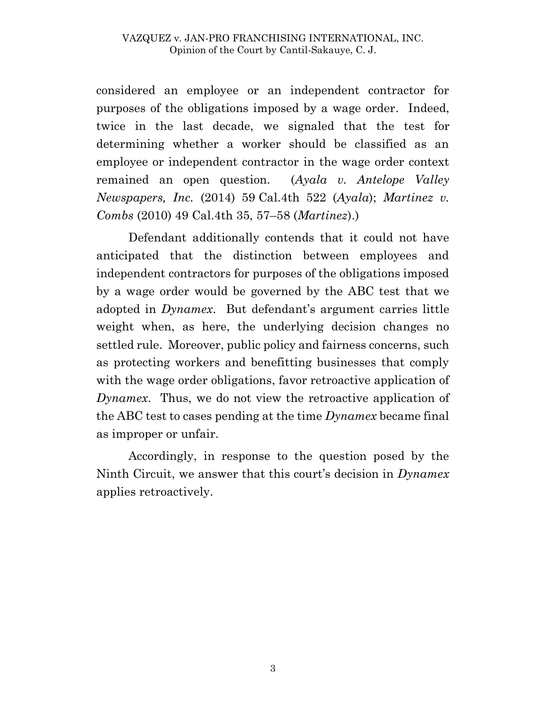#### VAZQUEZ v. JAN-PRO FRANCHISING INTERNATIONAL, INC. Opinion of the Court by Cantil-Sakauye, C. J.

considered an employee or an independent contractor for purposes of the obligations imposed by a wage order. Indeed, twice in the last decade, we signaled that the test for determining whether a worker should be classified as an employee or independent contractor in the wage order context remained an open question. (*Ayala v. Antelope Valley Newspapers, Inc.* (2014) 59 Cal.4th 522 (*Ayala*); *Martinez v. Combs* (2010) 49 Cal.4th 35, 57–58 (*Martinez*).)

Defendant additionally contends that it could not have anticipated that the distinction between employees and independent contractors for purposes of the obligations imposed by a wage order would be governed by the ABC test that we adopted in *Dynamex*. But defendant's argument carries little weight when, as here, the underlying decision changes no settled rule. Moreover, public policy and fairness concerns, such as protecting workers and benefitting businesses that comply with the wage order obligations, favor retroactive application of *Dynamex*. Thus, we do not view the retroactive application of the ABC test to cases pending at the time *Dynamex* became final as improper or unfair.

Accordingly, in response to the question posed by the Ninth Circuit, we answer that this court's decision in *Dynamex* applies retroactively.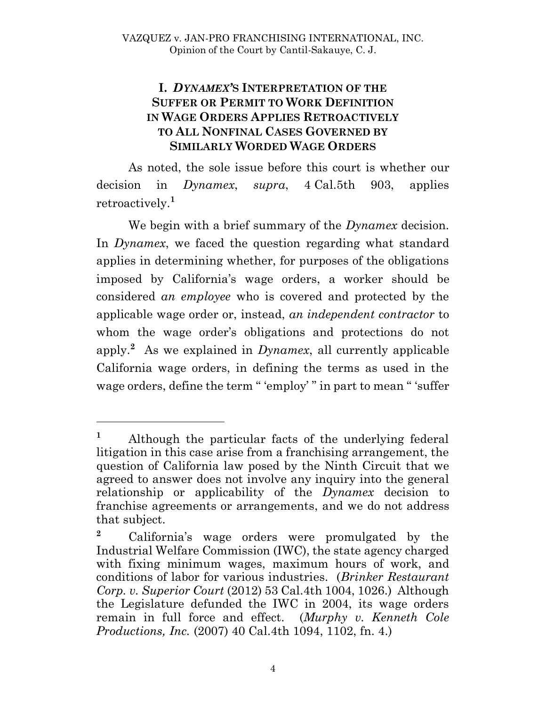# **I.** *DYNAMEX'***S INTERPRETATION OF THE SUFFER OR PERMIT TO WORK DEFINITION IN WAGE ORDERS APPLIES RETROACTIVELY TO ALL NONFINAL CASES GOVERNED BY SIMILARLY WORDED WAGE ORDERS**

As noted, the sole issue before this court is whether our decision in *Dynamex*, *supra*, 4 Cal.5th 903, applies retroactively.**<sup>1</sup>**

We begin with a brief summary of the *Dynamex* decision. In *Dynamex*, we faced the question regarding what standard applies in determining whether, for purposes of the obligations imposed by California's wage orders, a worker should be considered *an employee* who is covered and protected by the applicable wage order or, instead, *an independent contractor* to whom the wage order's obligations and protections do not apply.**<sup>2</sup>** As we explained in *Dynamex*, all currently applicable California wage orders, in defining the terms as used in the wage orders, define the term " 'employ' " in part to mean " 'suffer

**<sup>1</sup>** Although the particular facts of the underlying federal litigation in this case arise from a franchising arrangement, the question of California law posed by the Ninth Circuit that we agreed to answer does not involve any inquiry into the general relationship or applicability of the *Dynamex* decision to franchise agreements or arrangements, and we do not address that subject.

**<sup>2</sup>** California's wage orders were promulgated by the Industrial Welfare Commission (IWC), the state agency charged with fixing minimum wages, maximum hours of work, and conditions of labor for various industries. (*Brinker Restaurant Corp. v. Superior Court* (2012) 53 Cal.4th 1004, 1026.) Although the Legislature defunded the IWC in 2004, its wage orders remain in full force and effect. (*Murphy v. Kenneth Cole Productions, Inc.* (2007) 40 Cal.4th 1094, 1102, fn. 4.)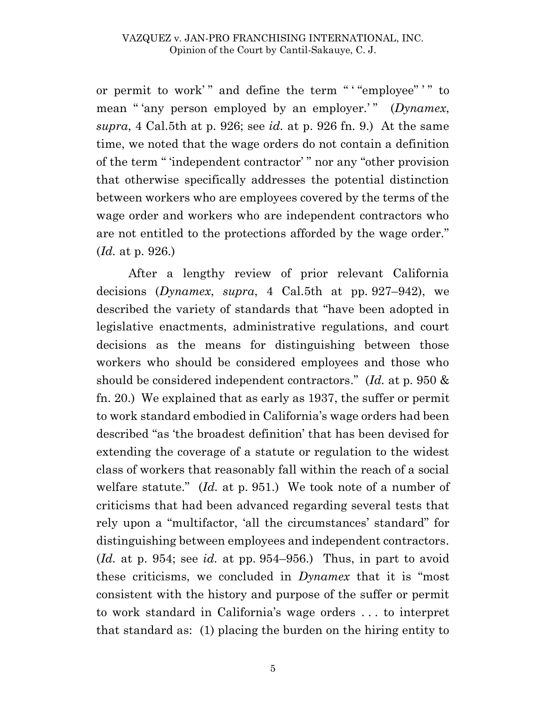or permit to work'" and define the term " "employee"'" to mean "'any person employed by an employer.'" (*Dynamex*, *supra*, 4 Cal.5th at p. 926; see *id.* at p. 926 fn. 9.)At the same time, we noted that the wage orders do not contain a definition of the term " 'independent contractor' " nor any "other provision that otherwise specifically addresses the potential distinction between workers who are employees covered by the terms of the wage order and workers who are independent contractors who are not entitled to the protections afforded by the wage order." (*Id.* at p. 926.)

After a lengthy review of prior relevant California decisions (*Dynamex*, *supra*, 4 Cal.5th at pp. 927–942), we described the variety of standards that "have been adopted in legislative enactments, administrative regulations, and court decisions as the means for distinguishing between those workers who should be considered employees and those who should be considered independent contractors." (*Id.* at p. 950 & fn. 20.) We explained that as early as 1937, the suffer or permit to work standard embodied in California's wage orders had been described "as 'the broadest definition' that has been devised for extending the coverage of a statute or regulation to the widest class of workers that reasonably fall within the reach of a social welfare statute." (*Id.* at p. 951.) We took note of a number of criticisms that had been advanced regarding several tests that rely upon a "multifactor, 'all the circumstances' standard" for distinguishing between employees and independent contractors. (*Id.* at p. 954; see *id.* at pp. 954–956.) Thus, in part to avoid these criticisms, we concluded in *Dynamex* that it is "most consistent with the history and purpose of the suffer or permit to work standard in California's wage orders . . . to interpret that standard as: (1) placing the burden on the hiring entity to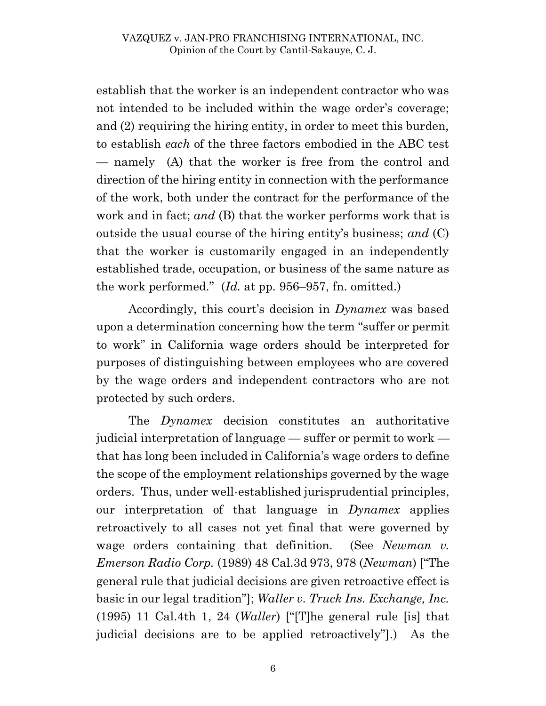establish that the worker is an independent contractor who was not intended to be included within the wage order's coverage; and (2) requiring the hiring entity, in order to meet this burden, to establish *each* of the three factors embodied in the ABC test — namely (A) that the worker is free from the control and direction of the hiring entity in connection with the performance of the work, both under the contract for the performance of the work and in fact; *and* (B) that the worker performs work that is outside the usual course of the hiring entity's business; *and* (C) that the worker is customarily engaged in an independently established trade, occupation, or business of the same nature as the work performed." (*Id.* at pp. 956–957, fn. omitted.)

Accordingly, this court's decision in *Dynamex* was based upon a determination concerning how the term "suffer or permit to work" in California wage orders should be interpreted for purposes of distinguishing between employees who are covered by the wage orders and independent contractors who are not protected by such orders.

The *Dynamex* decision constitutes an authoritative judicial interpretation of language — suffer or permit to work that has long been included in California's wage orders to define the scope of the employment relationships governed by the wage orders. Thus, under well-established jurisprudential principles, our interpretation of that language in *Dynamex* applies retroactively to all cases not yet final that were governed by wage orders containing that definition. (See *Newman v. Emerson Radio Corp.* (1989) 48 Cal.3d 973, 978 (*Newman*) ["The general rule that judicial decisions are given retroactive effect is basic in our legal tradition"]; *Waller v. Truck Ins. Exchange, Inc.*  (1995) 11 Cal.4th 1, 24 (*Waller*) ["[T]he general rule [is] that judicial decisions are to be applied retroactively"].) As the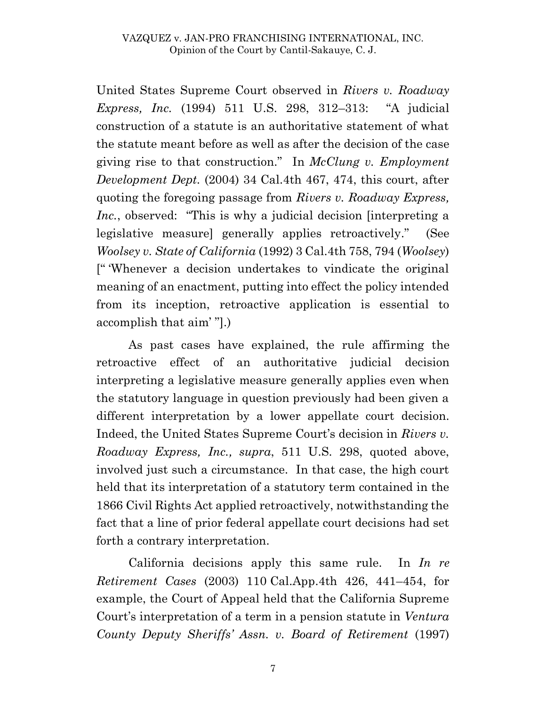#### VAZQUEZ v. JAN-PRO FRANCHISING INTERNATIONAL, INC. Opinion of the Court by Cantil-Sakauye, C. J.

United States Supreme Court observed in *Rivers v. Roadway Express, Inc.* (1994) 511 U.S. 298, 312–313: "A judicial construction of a statute is an authoritative statement of what the statute meant before as well as after the decision of the case giving rise to that construction." In *McClung v. Employment Development Dept.* (2004) 34 Cal.4th 467, 474, this court, after quoting the foregoing passage from *Rivers v. Roadway Express, Inc.*, observed: "This is why a judicial decision [interpreting a legislative measure] generally applies retroactively." (See *Woolsey v. State of California* (1992) 3 Cal.4th 758, 794 (*Woolsey*) [" 'Whenever a decision undertakes to vindicate the original meaning of an enactment, putting into effect the policy intended from its inception, retroactive application is essential to accomplish that aim' "].)

As past cases have explained, the rule affirming the retroactive effect of an authoritative judicial decision interpreting a legislative measure generally applies even when the statutory language in question previously had been given a different interpretation by a lower appellate court decision. Indeed, the United States Supreme Court's decision in *Rivers v. Roadway Express, Inc., supra*, 511 U.S. 298, quoted above, involved just such a circumstance. In that case, the high court held that its interpretation of a statutory term contained in the 1866 Civil Rights Act applied retroactively, notwithstanding the fact that a line of prior federal appellate court decisions had set forth a contrary interpretation.

California decisions apply this same rule. In *In re Retirement Cases* (2003) 110 Cal.App.4th 426, 441–454, for example, the Court of Appeal held that the California Supreme Court's interpretation of a term in a pension statute in *Ventura County Deputy Sheriffs' Assn. v. Board of Retirement* (1997)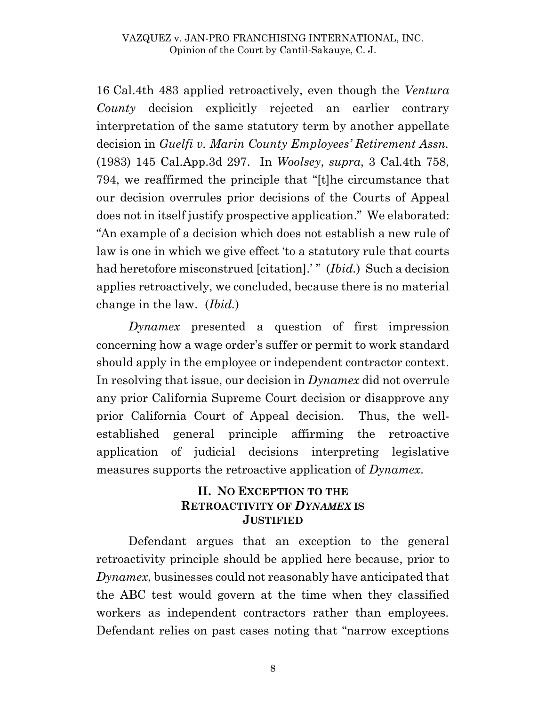16 Cal.4th 483 applied retroactively, even though the *Ventura County* decision explicitly rejected an earlier contrary interpretation of the same statutory term by another appellate decision in *Guelfi v. Marin County Employees' Retirement Assn.*  (1983) 145 Cal.App.3d 297. In *Woolsey*, *supra*, 3 Cal.4th 758, 794, we reaffirmed the principle that "[t]he circumstance that our decision overrules prior decisions of the Courts of Appeal does not in itself justify prospective application." We elaborated: "An example of a decision which does not establish a new rule of law is one in which we give effect 'to a statutory rule that courts had heretofore misconstrued [citation].'" (*Ibid.*) Such a decision applies retroactively, we concluded, because there is no material change in the law. (*Ibid.*)

*Dynamex* presented a question of first impression concerning how a wage order's suffer or permit to work standard should apply in the employee or independent contractor context. In resolving that issue, our decision in *Dynamex* did not overrule any prior California Supreme Court decision or disapprove any prior California Court of Appeal decision. Thus, the wellestablished general principle affirming the retroactive application of judicial decisions interpreting legislative measures supports the retroactive application of *Dynamex*.

### **II. NO EXCEPTION TO THE RETROACTIVITY OF** *DYNAMEX* **IS JUSTIFIED**

Defendant argues that an exception to the general retroactivity principle should be applied here because, prior to *Dynamex*, businesses could not reasonably have anticipated that the ABC test would govern at the time when they classified workers as independent contractors rather than employees. Defendant relies on past cases noting that "narrow exceptions

8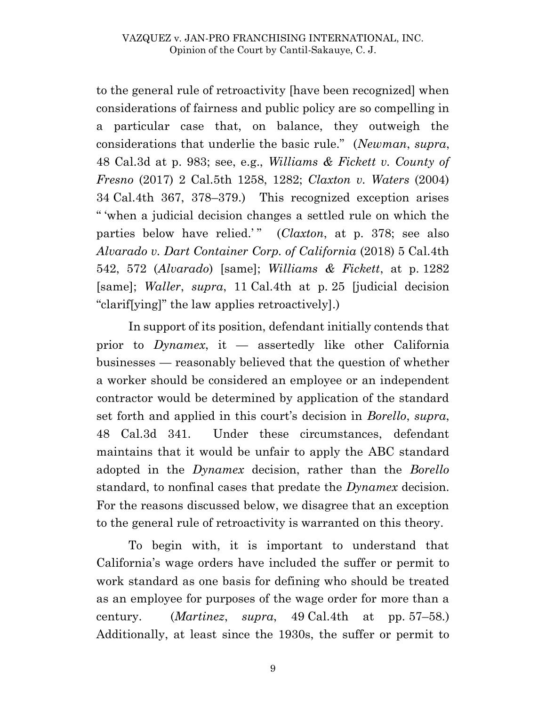to the general rule of retroactivity [have been recognized] when considerations of fairness and public policy are so compelling in a particular case that, on balance, they outweigh the considerations that underlie the basic rule." (*Newman*, *supra*, 48 Cal.3d at p. 983; see, e.g., *Williams & Fickett v. County of Fresno* (2017) 2 Cal.5th 1258, 1282; *Claxton v. Waters* (2004) 34 Cal.4th 367, 378–379.) This recognized exception arises " 'when a judicial decision changes a settled rule on which the parties below have relied.'" (*Claxton*, at p. 378; see also *Alvarado v. Dart Container Corp. of California* (2018) 5 Cal.4th 542, 572 (*Alvarado*) [same]; *Williams & Fickett*, at p. 1282 [same]; *Waller*, *supra*, 11 Cal.4th at p. 25 [judicial decision "clarif[ying]" the law applies retroactively].)

In support of its position, defendant initially contends that prior to *Dynamex*, it — assertedly like other California businesses — reasonably believed that the question of whether a worker should be considered an employee or an independent contractor would be determined by application of the standard set forth and applied in this court's decision in *Borello*, *supra*, 48 Cal.3d 341. Under these circumstances, defendant maintains that it would be unfair to apply the ABC standard adopted in the *Dynamex* decision, rather than the *Borello*  standard, to nonfinal cases that predate the *Dynamex* decision. For the reasons discussed below, we disagree that an exception to the general rule of retroactivity is warranted on this theory.

To begin with, it is important to understand that California's wage orders have included the suffer or permit to work standard as one basis for defining who should be treated as an employee for purposes of the wage order for more than a century. (*Martinez*, *supra*, 49 Cal.4th at pp. 57–58.) Additionally, at least since the 1930s, the suffer or permit to

9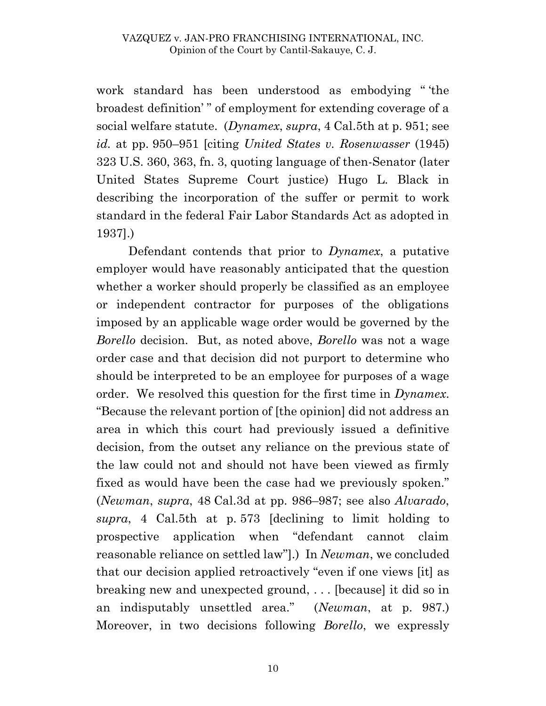work standard has been understood as embodying " 'the broadest definition' " of employment for extending coverage of a social welfare statute. (*Dynamex*, *supra*, 4 Cal.5th at p. 951; see *id.* at pp. 950–951 [citing *United States v. Rosenwasser* (1945) 323 U.S. 360, 363, fn. 3, quoting language of then-Senator (later United States Supreme Court justice) Hugo L. Black in describing the incorporation of the suffer or permit to work standard in the federal Fair Labor Standards Act as adopted in 1937].)

Defendant contends that prior to *Dynamex*, a putative employer would have reasonably anticipated that the question whether a worker should properly be classified as an employee or independent contractor for purposes of the obligations imposed by an applicable wage order would be governed by the *Borello* decision. But, as noted above, *Borello* was not a wage order case and that decision did not purport to determine who should be interpreted to be an employee for purposes of a wage order. We resolved this question for the first time in *Dynamex*. "Because the relevant portion of [the opinion] did not address an area in which this court had previously issued a definitive decision, from the outset any reliance on the previous state of the law could not and should not have been viewed as firmly fixed as would have been the case had we previously spoken." (*Newman*, *supra*, 48 Cal.3d at pp. 986–987; see also *Alvarado*, *supra*, 4 Cal.5th at p. 573 [declining to limit holding to prospective application when "defendant cannot claim reasonable reliance on settled law"].) In *Newman*, we concluded that our decision applied retroactively "even if one views [it] as breaking new and unexpected ground, . . . [because] it did so in an indisputably unsettled area." (*Newman*, at p. 987.) Moreover, in two decisions following *Borello*, we expressly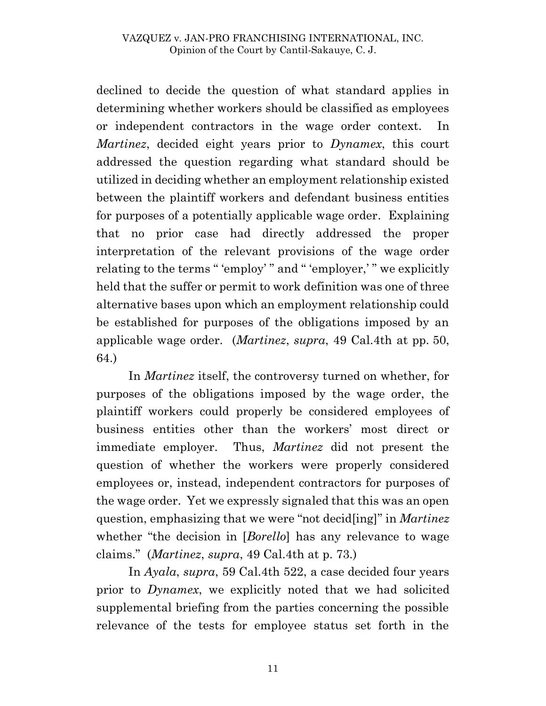declined to decide the question of what standard applies in determining whether workers should be classified as employees or independent contractors in the wage order context. In *Martinez*, decided eight years prior to *Dynamex*, this court addressed the question regarding what standard should be utilized in deciding whether an employment relationship existed between the plaintiff workers and defendant business entities for purposes of a potentially applicable wage order. Explaining that no prior case had directly addressed the proper interpretation of the relevant provisions of the wage order relating to the terms " 'employ' " and " 'employer,' " we explicitly held that the suffer or permit to work definition was one of three alternative bases upon which an employment relationship could be established for purposes of the obligations imposed by an applicable wage order. (*Martinez*, *supra*, 49 Cal.4th at pp. 50, 64.)

In *Martinez* itself, the controversy turned on whether, for purposes of the obligations imposed by the wage order, the plaintiff workers could properly be considered employees of business entities other than the workers' most direct or immediate employer. Thus, *Martinez* did not present the question of whether the workers were properly considered employees or, instead, independent contractors for purposes of the wage order. Yet we expressly signaled that this was an open question, emphasizing that we were "not decid[ing]" in *Martinez* whether "the decision in [*Borello*] has any relevance to wage claims." (*Martinez*, *supra*, 49 Cal.4th at p. 73.)

In *Ayala*, *supra*, 59 Cal.4th 522, a case decided four years prior to *Dynamex*, we explicitly noted that we had solicited supplemental briefing from the parties concerning the possible relevance of the tests for employee status set forth in the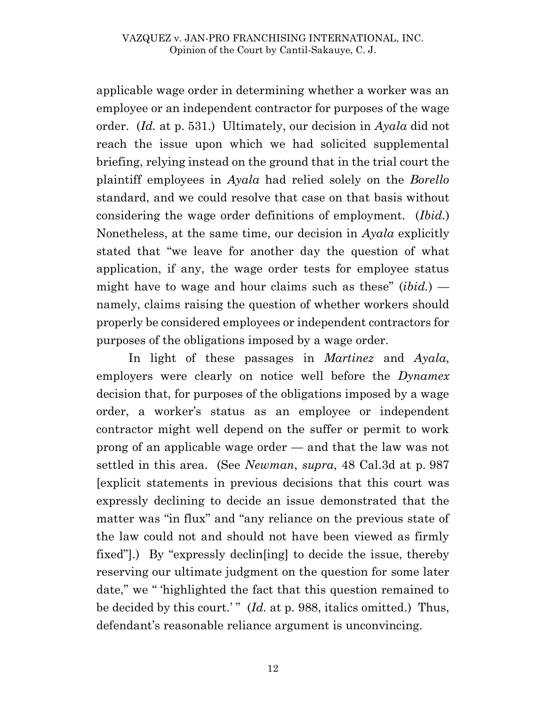applicable wage order in determining whether a worker was an employee or an independent contractor for purposes of the wage order. (*Id.* at p. 531.) Ultimately, our decision in *Ayala* did not reach the issue upon which we had solicited supplemental briefing, relying instead on the ground that in the trial court the plaintiff employees in *Ayala* had relied solely on the *Borello*  standard, and we could resolve that case on that basis without considering the wage order definitions of employment. (*Ibid.*) Nonetheless, at the same time, our decision in *Ayala* explicitly stated that "we leave for another day the question of what application, if any, the wage order tests for employee status might have to wage and hour claims such as these" (*ibid.*) namely, claims raising the question of whether workers should properly be considered employees or independent contractors for purposes of the obligations imposed by a wage order.

In light of these passages in *Martinez* and *Ayala*, employers were clearly on notice well before the *Dynamex*  decision that, for purposes of the obligations imposed by a wage order, a worker's status as an employee or independent contractor might well depend on the suffer or permit to work prong of an applicable wage order — and that the law was not settled in this area. (See *Newman*, *supra*, 48 Cal.3d at p. 987 [explicit statements in previous decisions that this court was expressly declining to decide an issue demonstrated that the matter was "in flux" and "any reliance on the previous state of the law could not and should not have been viewed as firmly fixed"].) By "expressly declin[ing] to decide the issue, thereby reserving our ultimate judgment on the question for some later date," we " 'highlighted the fact that this question remained to be decided by this court.' " (*Id.* at p. 988, italics omitted.) Thus, defendant's reasonable reliance argument is unconvincing.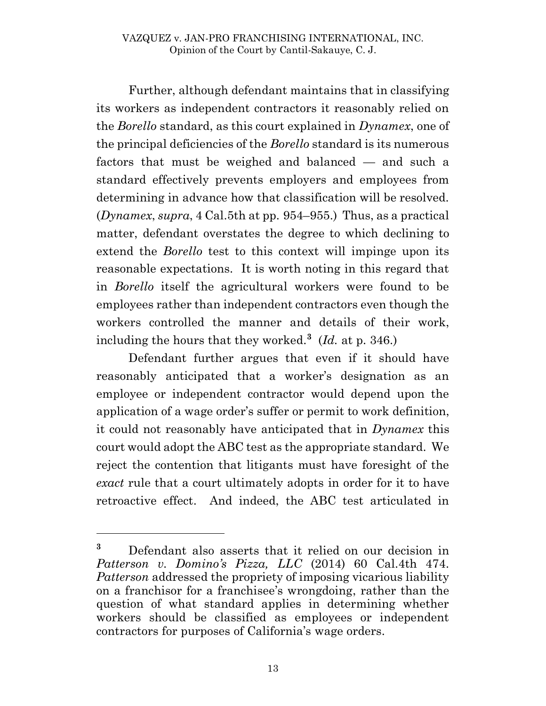Further, although defendant maintains that in classifying its workers as independent contractors it reasonably relied on the *Borello* standard, as this court explained in *Dynamex*, one of the principal deficiencies of the *Borello* standard is its numerous factors that must be weighed and balanced — and such a standard effectively prevents employers and employees from determining in advance how that classification will be resolved. (*Dynamex*, *supra*, 4 Cal.5th at pp. 954–955.) Thus, as a practical matter, defendant overstates the degree to which declining to extend the *Borello* test to this context will impinge upon its reasonable expectations. It is worth noting in this regard that in *Borello* itself the agricultural workers were found to be employees rather than independent contractors even though the workers controlled the manner and details of their work, including the hours that they worked.**<sup>3</sup>** (*Id.* at p. 346.)

Defendant further argues that even if it should have reasonably anticipated that a worker's designation as an employee or independent contractor would depend upon the application of a wage order's suffer or permit to work definition, it could not reasonably have anticipated that in *Dynamex* this court would adopt the ABC test as the appropriate standard. We reject the contention that litigants must have foresight of the *exact* rule that a court ultimately adopts in order for it to have retroactive effect. And indeed, the ABC test articulated in

**<sup>3</sup>** Defendant also asserts that it relied on our decision in *Patterson v. Domino's Pizza, LLC* (2014) 60 Cal.4th 474. *Patterson* addressed the propriety of imposing vicarious liability on a franchisor for a franchisee's wrongdoing, rather than the question of what standard applies in determining whether workers should be classified as employees or independent contractors for purposes of California's wage orders.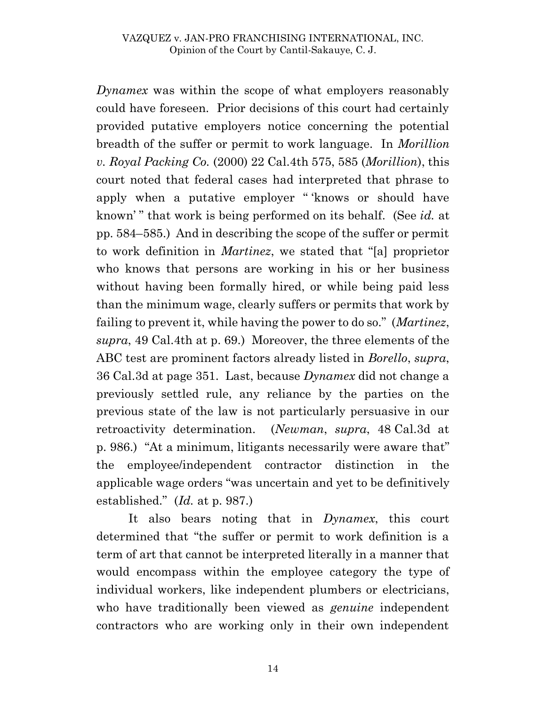*Dynamex* was within the scope of what employers reasonably could have foreseen. Prior decisions of this court had certainly provided putative employers notice concerning the potential breadth of the suffer or permit to work language. In *Morillion v. Royal Packing Co.* (2000) 22 Cal.4th 575, 585 (*Morillion*), this court noted that federal cases had interpreted that phrase to apply when a putative employer " 'knows or should have known' " that work is being performed on its behalf. (See *id.* at pp. 584–585.) And in describing the scope of the suffer or permit to work definition in *Martinez*, we stated that "[a] proprietor who knows that persons are working in his or her business without having been formally hired, or while being paid less than the minimum wage, clearly suffers or permits that work by failing to prevent it, while having the power to do so." (*Martinez*, *supra*, 49 Cal.4th at p. 69.) Moreover, the three elements of the ABC test are prominent factors already listed in *Borello*, *supra*, 36 Cal.3d at page 351. Last, because *Dynamex* did not change a previously settled rule, any reliance by the parties on the previous state of the law is not particularly persuasive in our retroactivity determination. (*Newman*, *supra*, 48 Cal.3d at p. 986.) "At a minimum, litigants necessarily were aware that" the employee/independent contractor distinction in the applicable wage orders "was uncertain and yet to be definitively established." (*Id.* at p. 987.)

It also bears noting that in *Dynamex*, this court determined that "the suffer or permit to work definition is a term of art that cannot be interpreted literally in a manner that would encompass within the employee category the type of individual workers, like independent plumbers or electricians, who have traditionally been viewed as *genuine* independent contractors who are working only in their own independent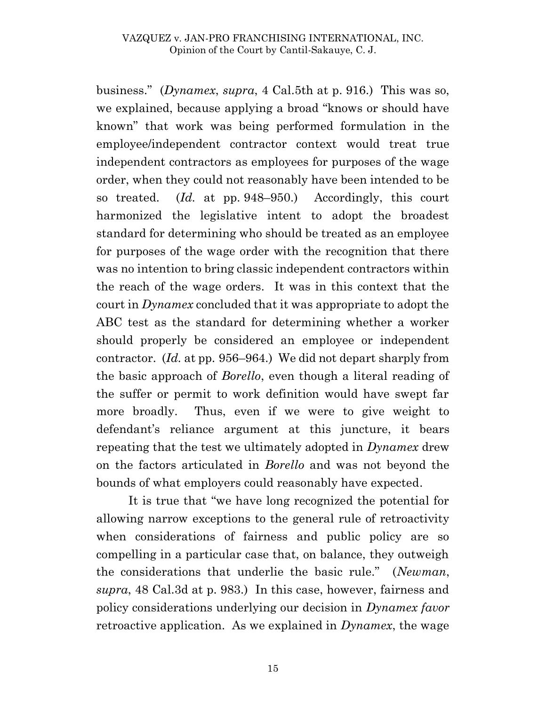business." (*Dynamex*, *supra*, 4 Cal.5th at p. 916.) This was so, we explained, because applying a broad "knows or should have known" that work was being performed formulation in the employee/independent contractor context would treat true independent contractors as employees for purposes of the wage order, when they could not reasonably have been intended to be so treated. (*Id.* at pp. 948–950.) Accordingly, this court harmonized the legislative intent to adopt the broadest standard for determining who should be treated as an employee for purposes of the wage order with the recognition that there was no intention to bring classic independent contractors within the reach of the wage orders. It was in this context that the court in *Dynamex* concluded that it was appropriate to adopt the ABC test as the standard for determining whether a worker should properly be considered an employee or independent contractor. (*Id.* at pp. 956–964.) We did not depart sharply from the basic approach of *Borello*, even though a literal reading of the suffer or permit to work definition would have swept far more broadly. Thus, even if we were to give weight to defendant's reliance argument at this juncture, it bears repeating that the test we ultimately adopted in *Dynamex* drew on the factors articulated in *Borello* and was not beyond the bounds of what employers could reasonably have expected.

It is true that "we have long recognized the potential for allowing narrow exceptions to the general rule of retroactivity when considerations of fairness and public policy are so compelling in a particular case that, on balance, they outweigh the considerations that underlie the basic rule." (*Newman*, *supra*, 48 Cal.3d at p. 983.) In this case, however, fairness and policy considerations underlying our decision in *Dynamex favor* retroactive application. As we explained in *Dynamex*, the wage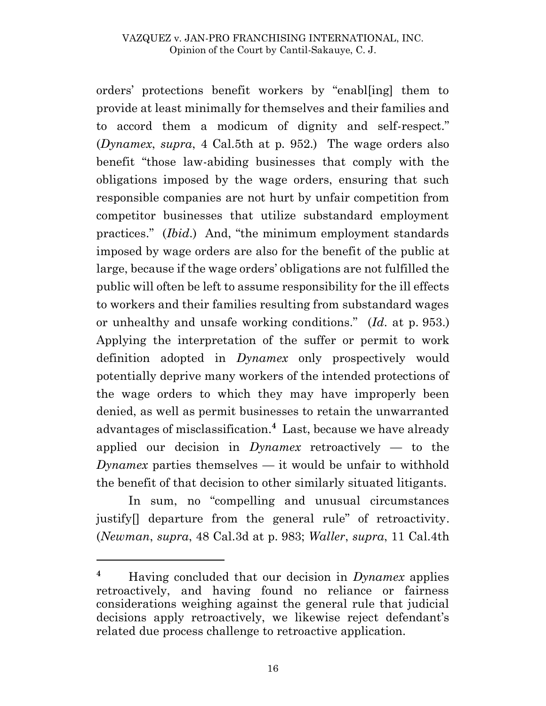orders' protections benefit workers by "enabl[ing] them to provide at least minimally for themselves and their families and to accord them a modicum of dignity and self-respect." (*Dynamex*, *supra*, 4 Cal.5th at p. 952.) The wage orders also benefit "those law-abiding businesses that comply with the obligations imposed by the wage orders, ensuring that such responsible companies are not hurt by unfair competition from competitor businesses that utilize substandard employment practices." (*Ibid*.) And, "the minimum employment standards imposed by wage orders are also for the benefit of the public at large, because if the wage orders' obligations are not fulfilled the public will often be left to assume responsibility for the ill effects to workers and their families resulting from substandard wages or unhealthy and unsafe working conditions." (*Id*. at p. 953.) Applying the interpretation of the suffer or permit to work definition adopted in *Dynamex* only prospectively would potentially deprive many workers of the intended protections of the wage orders to which they may have improperly been denied, as well as permit businesses to retain the unwarranted advantages of misclassification. **4** Last, because we have already applied our decision in *Dynamex* retroactively — to the *Dynamex* parties themselves — it would be unfair to withhold the benefit of that decision to other similarly situated litigants.

In sum, no "compelling and unusual circumstances justify[] departure from the general rule" of retroactivity. (*Newman*, *supra*, 48 Cal.3d at p. 983; *Waller*, *supra*, 11 Cal.4th

**<sup>4</sup>** Having concluded that our decision in *Dynamex* applies retroactively, and having found no reliance or fairness considerations weighing against the general rule that judicial decisions apply retroactively, we likewise reject defendant's related due process challenge to retroactive application.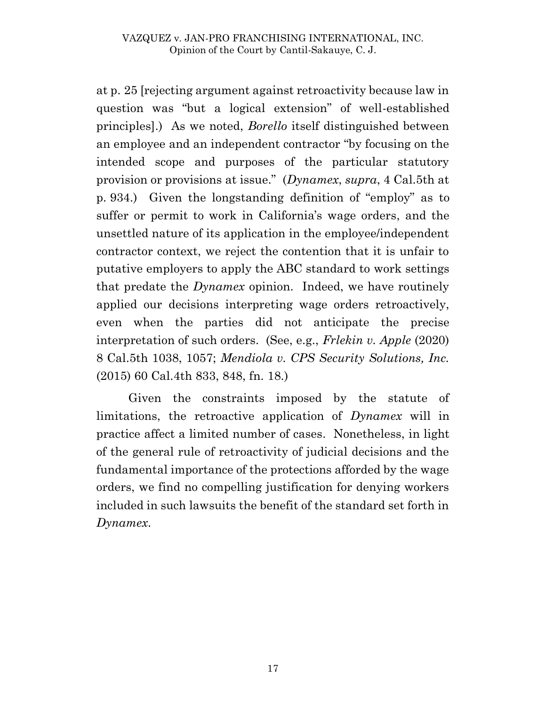at p. 25 [rejecting argument against retroactivity because law in question was "but a logical extension" of well-established principles].) As we noted, *Borello* itself distinguished between an employee and an independent contractor "by focusing on the intended scope and purposes of the particular statutory provision or provisions at issue." (*Dynamex*, *supra*, 4 Cal.5th at p. 934.) Given the longstanding definition of "employ" as to suffer or permit to work in California's wage orders, and the unsettled nature of its application in the employee/independent contractor context, we reject the contention that it is unfair to putative employers to apply the ABC standard to work settings that predate the *Dynamex* opinion. Indeed, we have routinely applied our decisions interpreting wage orders retroactively, even when the parties did not anticipate the precise interpretation of such orders. (See, e.g., *Frlekin v. Apple* (2020) 8 Cal.5th 1038, 1057; *Mendiola v. CPS Security Solutions, Inc.* (2015) 60 Cal.4th 833, 848, fn. 18.)

Given the constraints imposed by the statute of limitations, the retroactive application of *Dynamex* will in practice affect a limited number of cases. Nonetheless, in light of the general rule of retroactivity of judicial decisions and the fundamental importance of the protections afforded by the wage orders, we find no compelling justification for denying workers included in such lawsuits the benefit of the standard set forth in *Dynamex*.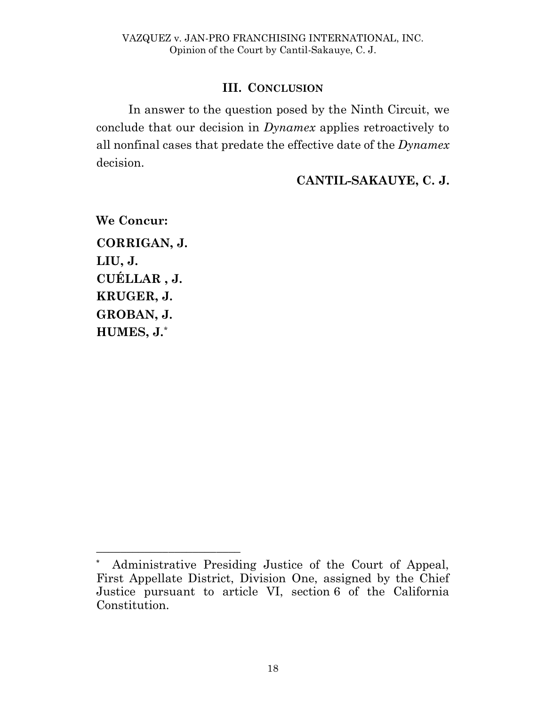# **III. CONCLUSION**

In answer to the question posed by the Ninth Circuit, we conclude that our decision in *Dynamex* applies retroactively to all nonfinal cases that predate the effective date of the *Dynamex*  decision.

# **CANTIL-SAKAUYE, C. J.**

**We Concur: CORRIGAN, J. LIU, J. CUÉLLAR , J. KRUGER, J. GROBAN, J. HUMES, J.**\*

\_\_\_\_\_\_\_\_\_\_\_\_\_\_\_\_\_\_\_\_\_\_\_\_

**<sup>\*</sup>** Administrative Presiding Justice of the Court of Appeal, First Appellate District, Division One, assigned by the Chief Justice pursuant to article VI, section 6 of the California Constitution.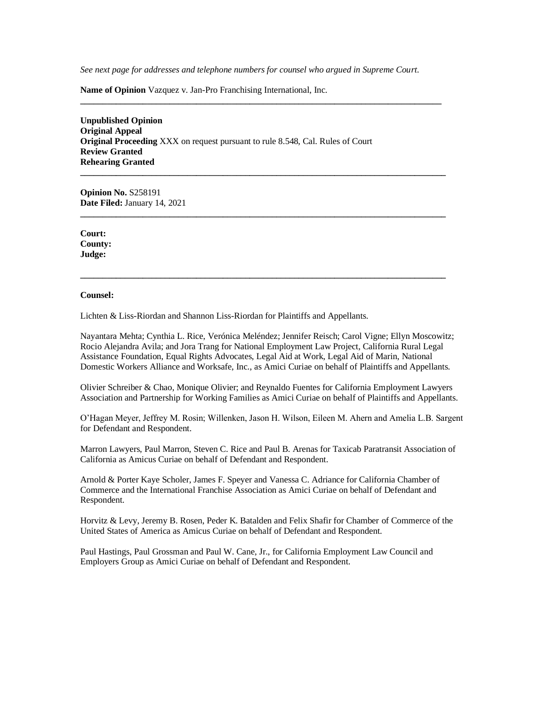*See next page for addresses and telephone numbers for counsel who argued in Supreme Court.*

**\_\_\_\_\_\_\_\_\_\_\_\_\_\_\_\_\_\_\_\_\_\_\_\_\_\_\_\_\_\_\_\_\_\_\_\_\_\_\_\_\_\_\_\_\_\_\_\_\_\_\_\_\_\_\_\_\_\_\_\_\_\_\_\_\_\_\_\_\_\_\_\_\_\_\_\_\_\_\_\_\_**

**\_\_\_\_\_\_\_\_\_\_\_\_\_\_\_\_\_\_\_\_\_\_\_\_\_\_\_\_\_\_\_\_\_\_\_\_\_\_\_\_\_\_\_\_\_\_\_\_\_\_\_\_\_\_\_\_\_\_\_\_\_\_\_\_\_\_\_\_\_\_\_\_\_\_\_\_\_\_\_\_\_\_**

**\_\_\_\_\_\_\_\_\_\_\_\_\_\_\_\_\_\_\_\_\_\_\_\_\_\_\_\_\_\_\_\_\_\_\_\_\_\_\_\_\_\_\_\_\_\_\_\_\_\_\_\_\_\_\_\_\_\_\_\_\_\_\_\_\_\_\_\_\_\_\_\_\_\_\_\_\_\_\_\_\_\_**

**\_\_\_\_\_\_\_\_\_\_\_\_\_\_\_\_\_\_\_\_\_\_\_\_\_\_\_\_\_\_\_\_\_\_\_\_\_\_\_\_\_\_\_\_\_\_\_\_\_\_\_\_\_\_\_\_\_\_\_\_\_\_\_\_\_\_\_\_\_\_\_\_\_\_\_\_\_\_\_\_\_\_**

**Name of Opinion** Vazquez v. Jan-Pro Franchising International, Inc.

**Unpublished Opinion Original Appeal Original Proceeding** XXX on request pursuant to rule 8.548, Cal. Rules of Court **Review Granted Rehearing Granted**

**Opinion No.** S258191 **Date Filed:** January 14, 2021

**Court: County: Judge:** 

#### **Counsel:**

Lichten & Liss-Riordan and Shannon Liss-Riordan for Plaintiffs and Appellants.

Nayantara Mehta; Cynthia L. Rice, Verónica Meléndez; Jennifer Reisch; Carol Vigne; Ellyn Moscowitz; Rocio Alejandra Avila; and Jora Trang for National Employment Law Project, California Rural Legal Assistance Foundation, Equal Rights Advocates, Legal Aid at Work, Legal Aid of Marin, National Domestic Workers Alliance and Worksafe, Inc., as Amici Curiae on behalf of Plaintiffs and Appellants.

Olivier Schreiber & Chao, Monique Olivier; and Reynaldo Fuentes for California Employment Lawyers Association and Partnership for Working Families as Amici Curiae on behalf of Plaintiffs and Appellants.

O'Hagan Meyer, Jeffrey M. Rosin; Willenken, Jason H. Wilson, Eileen M. Ahern and Amelia L.B. Sargent for Defendant and Respondent.

Marron Lawyers, Paul Marron, Steven C. Rice and Paul B. Arenas for Taxicab Paratransit Association of California as Amicus Curiae on behalf of Defendant and Respondent.

Arnold & Porter Kaye Scholer, James F. Speyer and Vanessa C. Adriance for California Chamber of Commerce and the International Franchise Association as Amici Curiae on behalf of Defendant and Respondent.

Horvitz & Levy, Jeremy B. Rosen, Peder K. Batalden and Felix Shafir for Chamber of Commerce of the United States of America as Amicus Curiae on behalf of Defendant and Respondent.

Paul Hastings, Paul Grossman and Paul W. Cane, Jr., for California Employment Law Council and Employers Group as Amici Curiae on behalf of Defendant and Respondent.